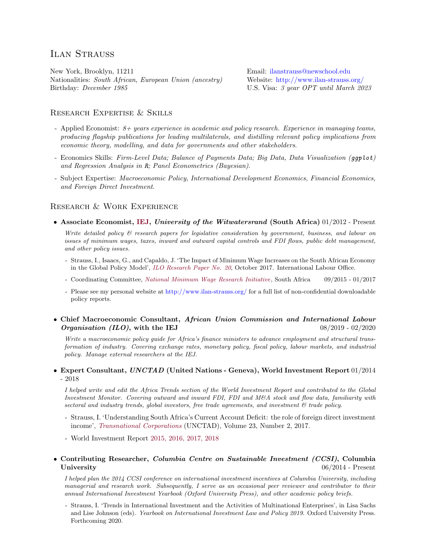# Ilan Strauss

New York, Brooklyn, 11211 Nationalities: South African, European Union (ancestry) Birthday: December 1985

Email: [ilanstrauss@newschool.edu](mailto: ilanstrauss@gmail.com) Website: <http://www.ilan-strauss.org/> U.S. Visa: 3 year OPT until March 2023

# Research Expertise & Skills

- Applied Economist:  $8+$  years experience in academic and policy research. Experience in managing teams, producing flagship publications for leading multilaterals, and distilling relevant policy implications from economic theory, modelling, and data for governments and other stakeholders.
- Economics Skills: Firm-Level Data; Balance of Payments Data; Big Data, Data Visualization (ggplot) and Regression Analysis in R; Panel Econometrics (Bayesian).
- Subject Expertise: Macroeconomic Policy, International Development Economics, Financial Economics, and Foreign Direct Investment.

# Research & Work Experience

- Associate Economist, [IEJ,](https://iej.org.za/) University of the Witwatersrand (South Africa) 01/2012 Present Write detailed policy & research papers for legislative consideration by government, business, and labour on issues of minimum wages, taxes, inward and outward capital controls and FDI flows, public debt management, and other policy issues.
	- [Strauss, I., Isaacs, G., and Capaldo, J. 'The Impact of Minimum Wage Increases on the South African Economy](http://www.ilo.org/global/research/publications/papers/WCMS_593076/lang--en/index.htm) in the Global Policy Model', ILO Research Paper No. 20[, October 2017. International Labour Office.](http://www.ilo.org/global/research/publications/papers/WCMS_593076/lang--en/index.htm)
	- Coordinating Committee, [National Minimum Wage Research Initiative](http://nationalminimumwage.co.za/wp-content/uploads/2016/08/NMW-RI-GPM-Model-Final.pdf), South Africa 09/2015 01/2017
	- Please see my personal website at <http://www.ilan-strauss.org/> for a full list of non-confidential downloadable policy reports.
- Chief Macroeconomic Consultant, African Union Commission and International Labour  $Organisation$  (ILO), with the IEJ 08/2019 - 02/2020

Write a macroeconomic policy guide for Africa's finance ministers to advance employment and structural transformation of industry. Covering exchange rates, monetary policy, fiscal policy, labour markets, and industrial policy. Manage external researchers at the IEJ.

### • Expert Consultant, UNCTAD (United Nations - Geneva), World Investment Report 01/2014 - 2018

I helped write and edit the Africa Trends section of the World Investment Report and contributed to the Global Investment Monitor. Covering outward and inward FDI, FDI and M&A stock and flow data, familiarity with sectoral and industry trends, global investors, free trade agreements, and investment  $\mathcal E$  trade policy.

- [Strauss, I. 'Understanding South Africa's Current Account Deficit: the role of foreign direct investment](http://unctad.org/en/PublicationsLibrary/diaeia2016d1_en.pdf ) income', Transnational Corporations [\(UNCTAD\), Volume 23, Number 2, 2017.](http://unctad.org/en/PublicationsLibrary/diaeia2016d1_en.pdf )
- [World Investment Report](https://unctad.org/en/Pages/DIAE/World%20Investment%20Report/World_Investment_Report.aspx) 2015, 2016, 2017, 2018
- Contributing Researcher, Columbia Centre on Sustainable Investment (CCSI), Columbia University 06/2014 - Present

I helped plan the 2014 CCSI conference on international investment incentives at Columbia University, including managerial and research work. Subsequently, I serve as an occasional peer reviewer and contributor to their annual International Investment Yearbook (Oxford University Press), and other academic policy briefs.

- [Strauss, I. 'Trends in International Investment and the Activities of Multinational Enterprises',](http://ccsi.columbia.edu/files/2014/03/YB-2015-16-Front-matter.pdf) in Lisa Sachs and Lise Johnson (eds). Yearbook on International Investment Law and Policy 2019. Oxford University Press. Forthcoming 2020.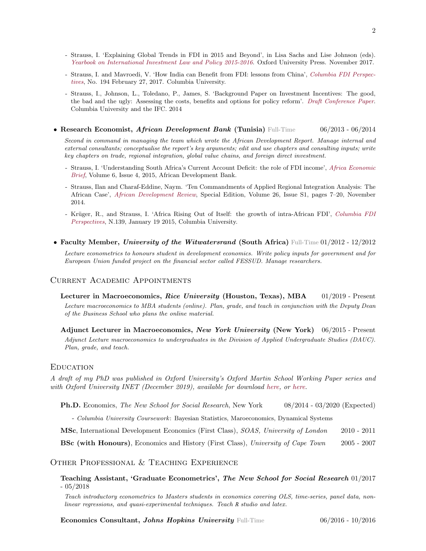- [Strauss, I. 'Explaining Global Trends in FDI in 2015 and Beyond',](http://ccsi.columbia.edu/files/2014/03/YB-2015-16-Front-matter.pdf) in Lisa Sachs and Lise Johnson (eds). Yearbook on International Investment Law and Policy 2015-2016. Oxford University Press. November 2017.
- [Strauss, I. and Mavroedi, V. 'How India can Benefit from FDI: lessons from China',](http://ccsi.columbia.edu/files/2016/10/No-194-Strauss-and-Mavroeidi-FINAL.pdf) Columbia FDI Perspectives[, No. 194 February 27, 2017. Columbia University.](http://ccsi.columbia.edu/files/2016/10/No-194-Strauss-and-Mavroeidi-FINAL.pdf)
- [Strauss, I., Johnson, L., Toledano, P., James, S. 'Background Paper on Investment Incentives: The good,](https://academiccommons.columbia.edu/catalog/ac:168080) [the bad and the ugly: Assessing the costs, benefits and options for policy reform'.](https://academiccommons.columbia.edu/catalog/ac:168080) Draft Conference Paper. [Columbia University and the IFC. 2014](https://academiccommons.columbia.edu/catalog/ac:168080)
- Research Economist, African Development Bank (Tunisia) Full-Time  $06/2013$   $06/2014$

Second in command in managing the team which wrote the African Development Report. Manage internal and external consultants; conceptualise the report's key arguments; edit and use chapters and consulting inputs; write key chapters on trade, regional integration, global value chains, and foreign direct investment.

- [Strauss, I. 'Understanding South Africa's Current Account Deficit: the role of FDI income',](https://www.afdb.org/fileadmin/uploads/afdb/Documents/Publications/AEB_Vol_6_Issue_3_2015_Understanding_South_Africas_current_account_deficit_The_role_of_foreign_direct_investment_income_-_06_2015.pdf) Africa Economic Brief[, Volume 6, Issue 4, 2015, African Development Bank.](https://www.afdb.org/fileadmin/uploads/afdb/Documents/Publications/AEB_Vol_6_Issue_3_2015_Understanding_South_Africas_current_account_deficit_The_role_of_foreign_direct_investment_income_-_06_2015.pdf)
- [Strauss, Ilan and Charaf-Eddine, Naym. 'Ten Commandments of Applied Regional Integration Analysis: The](http://onlinelibrary.wiley.com/doi/10.1111/1467-8268.12089/abstract) African Case', African Development Review[, Special Edition, Volume 26, Issue S1, pages 7–20, November](http://onlinelibrary.wiley.com/doi/10.1111/1467-8268.12089/abstract) [2014.](http://onlinelibrary.wiley.com/doi/10.1111/1467-8268.12089/abstract)
- Krüger, R., and Strauss, I. 'Africa Rising Out of Itself: the growth of intra-African FDI', Columbia FDI Perspectives[, N.139, January 19 2015, Columbia University.](http://ccsi.columbia.edu/files/2013/10/No-139-Kr%C3%BCger-and-Strauss-FINAL.pdf)
- Faculty Member, University of the Witwatersrand (South Africa) Full-Time 01/2012 12/2012

Lecture econometrics to honours student in development economics. Write policy inputs for government and for European Union funded project on the financial sector called FESSUD. Manage researchers.

### Current Academic Appointments

Lecturer in Macroeconomics, Rice University (Houston, Texas), MBA 01/2019 - Present Lecture macroeconomics to MBA students (online). Plan, grade, and teach in conjunction with the Deputy Dean of the Business School who plans the online material.

Adjunct Lecturer in Macroeconomics, New York University (New York) 06/2015 - Present Adjunct Lecture macroeconomics to undergraduates in the Division of Applied Undergraduate Studies (DAUC). Plan, grade, and teach.

### **EDUCATION**

A draft of my PhD was published in Oxford University's Oxford Martin School Working Paper series and wit[h](https://www.oxfordmartin.ox.ac.uk/publications/the-global-investment-slowdown-corporate-secular-stagnation-and-the-draining-of-the-cash-flow-swamp/) Oxford University INET (December 2019), available for download here, or here.

Ph.D. Economics, The New School for Social Research, New York 08/2014 - 03/2020 (Expected)

- Columbia University Coursework: Bayesian Statistics, Maroeconomics, Dynamical Systems

MSc, International Development Economics (First Class), SOAS, University of London 2010 - 2011

BSc (with Honours), Economics and History (First Class), University of Cape Town 2005 - 2007

#### Other Professional & Teaching Experience

Teaching Assistant, 'Graduate Econometrics', The New School for Social Research 01/2017 - 05/2018

Teach introductory econometrics to Masters students in economics covering OLS, time-series, panel data, nonlinear regressions, and quasi-experimental techniques. Teach R studio and latex.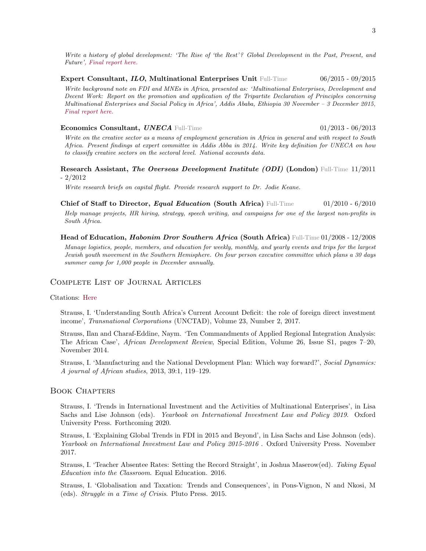Write a history of global development: 'The Rise of 'the Rest'? Global Development in the Past, Present, and Future[', Final report here.](https://www.ilo.org/wcmsp5/groups/public/---ed_norm/---relconf/documents/meetingdocument/wcms_420594.pdf)

Expert Consultant, ILO, Multinational Enterprises Unit Full-Time 06/2015 - 09/2015

Write background note on FDI and MNEs in Africa, presented as: 'Multinational Enterprises, Development and Decent Work: Report on the promotion and application of the Tripartite Declaration of Principles concerning Multinational Enterprises and Social Policy in Africa', Addis Ababa, Ethiopia 30 November – 3 December 201[5,](http://emerge85.io/report/the-rise-of-the-rest) [Final report here.](http://emerge85.io/report/the-rise-of-the-rest)

#### Economics Consultant, UNECA Full-Time 01/2013 - 06/2013

Write on the creative sector as a means of employment generation in Africa in general and with respect to South Africa. Present findings at expert committee in Addis Abba in 2014. Write key definition for UNECA on how to classify creative sectors on the sectoral level. National accounts data.

#### Research Assistant, The Overseas Development Institute (ODI) (London) Full-Time 11/2011 - 2/2012

Write research briefs on capital flight. Provide research support to Dr. Jodie Keane.

**Chief of Staff to Director, Equal Education (South Africa)** Full-Time  $01/2010 - 6/2010$ Help manage projects, HR hiring, strategy, speech writing, and campaigns for one of the largest non-profits in South Africa.

#### Head of Education, Habonim Dror Southern Africa (South Africa) Full-Time 01/2008 - 12/2008

Manage logistics, people, members, and education for weekly, monthly, and yearly events and trips for the largest Jewish youth movement in the Southern Hemisphere. On four person executive committee which plans a 30 days summer camp for 1,000 people in December annually.

### Complete List of Journal Articles

### Citations: [Here](https://scholar.google.com/citations?user=faaZ7AgAAAAJ&hl=fr)

[Strauss, I. 'Understanding South Africa's Current Account Deficit: the role of foreign direct investment](http://unctad.org/en/PublicationsLibrary/diaeia2016d1_en.pdf ) income', Transnational Corporations [\(UNCTAD\), Volume 23, Number 2, 2017.](http://unctad.org/en/PublicationsLibrary/diaeia2016d1_en.pdf )

[Strauss, Ilan and Charaf-Eddine, Naym. 'Ten Commandments of Applied Regional Integration Analysis:](http://onlinelibrary.wiley.com/doi/10.1111/1467-8268.12089/abstract) The African Case', African Development Review[, Special Edition, Volume 26, Issue S1, pages 7–20,](http://onlinelibrary.wiley.com/doi/10.1111/1467-8268.12089/abstract) [November 2014.](http://onlinelibrary.wiley.com/doi/10.1111/1467-8268.12089/abstract)

[Strauss, I. 'Manufacturing and the National Development Plan: Which way forward?',](http://www.tandfonline.com/doi/abs/10.1080/02533952.2013.777546?journalCode=rsdy20) Social Dynamics: [A journal of African studies](http://www.tandfonline.com/doi/abs/10.1080/02533952.2013.777546?journalCode=rsdy20), 2013, 39:1, 119–129.

#### Book Chapters

[Strauss, I. 'Trends in International Investment and the Activities of Multinational Enterprises',](http://ccsi.columbia.edu/files/2014/03/YB-2015-16-Front-matter.pdf) in Lisa Sachs and Lise Johnson (eds). Yearbook on International Investment Law and Policy 2019. Oxford University Press. Forthcoming 2020.

[Strauss, I. 'Explaining Global Trends in FDI in 2015 and Beyond',](http://ccsi.columbia.edu/files/2014/03/YB-2015-16-Front-matter.pdf) in Lisa Sachs and Lise Johnson (eds). Yearbook on International Investment Law and Policy 2015-2016 . Oxford University Press. November 2017.

[Strauss, I. 'Teacher Absentee Rates: Setting the Record Straight', in Joshua Maserow\(ed\).](https://equaleducation.org.za/wp-content/uploads/2016/08/EE-in-the-classroom_EBook.pdf) Taking Equal [Education into the Classroom](https://equaleducation.org.za/wp-content/uploads/2016/08/EE-in-the-classroom_EBook.pdf). Equal Education. 2016.

[Strauss, I. 'Globalisation and Taxation: Trends and Consequences', in Pons-Vignon, N and Nkosi, M](http://press.uchicago.edu/ucp/books/book/distributed/S/bo22668532.html) (eds). [Struggle in a Time of Crisis](http://press.uchicago.edu/ucp/books/book/distributed/S/bo22668532.html). Pluto Press. 2015.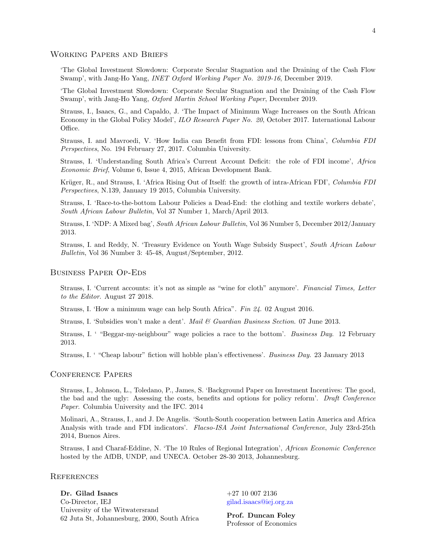# Working Papers and Briefs

['The Global Investment Slowdown: Corporate Secular Stagnation and the Draining of the Cash Flow](https://www.inet.ox.ac.uk/files/StraussYang-Global-Investment-Slowdown3.pdf) Swamp', with Jang-Ho Yang, [INET Oxford Working Paper No. 2019-16](https://www.inet.ox.ac.uk/files/StraussYang-Global-Investment-Slowdown3.pdf), December 2019.

['The Global Investment Slowdown: Corporate Secular Stagnation and the Draining of the Cash Flow](https://www.oxfordmartin.ox.ac.uk/publications/the-global-investment-slowdown-corporate-secular-stagnation-and-the-draining-of-the-cash-flow-swamp/) Swamp', with Jang-Ho Yang, [Oxford Martin School Working Paper](https://www.oxfordmartin.ox.ac.uk/publications/the-global-investment-slowdown-corporate-secular-stagnation-and-the-draining-of-the-cash-flow-swamp/), December 2019.

[Strauss, I., Isaacs, G., and Capaldo, J. 'The Impact of Minimum Wage Increases on the South African](http://www.ilo.org/global/research/publications/papers/WCMS_593076/lang--en/index.htm) [Economy in the Global Policy Model',](http://www.ilo.org/global/research/publications/papers/WCMS_593076/lang--en/index.htm) ILO Research Paper No. 20, October 2017. International Labour [Office.](http://www.ilo.org/global/research/publications/papers/WCMS_593076/lang--en/index.htm)

[Strauss, I. and Mavroedi, V. 'How India can Benefit from FDI: lessons from China',](http://ccsi.columbia.edu/files/2016/10/No-194-Strauss-and-Mavroeidi-FINAL.pdf) Columbia FDI Perspectives[, No. 194 February 27, 2017. Columbia University.](http://ccsi.columbia.edu/files/2016/10/No-194-Strauss-and-Mavroeidi-FINAL.pdf)

[Strauss, I. 'Understanding South Africa's Current Account Deficit: the role of FDI income',](https://www.afdb.org/fileadmin/uploads/afdb/Documents/Publications/AEB_Vol_6_Issue_3_2015_Understanding_South_Africas_current_account_deficit_The_role_of_foreign_direct_investment_income_-_06_2015.pdf) Africa Economic Brief[, Volume 6, Issue 4, 2015, African Development Bank.](https://www.afdb.org/fileadmin/uploads/afdb/Documents/Publications/AEB_Vol_6_Issue_3_2015_Understanding_South_Africas_current_account_deficit_The_role_of_foreign_direct_investment_income_-_06_2015.pdf)

Krüger, R., and Strauss, I. 'Africa Rising Out of Itself: the growth of intra-African FDI', *Columbia FDI* Perspectives[, N.139, January 19 2015, Columbia University.](http://ccsi.columbia.edu/files/2013/10/No-139-Kr%C3%BCger-and-Strauss-FINAL.pdf)

[Strauss, I. 'Race-to-the-bottom Labour Policies a Dead-End: the clothing and textile workers debate',](http://www.southafricanlabourbulletin.org.za/articles/race-bottom-labour-policies) South African Labour Bulletin[, Vol 37 Number 1, March/April 2013.](http://www.southafricanlabourbulletin.org.za/articles/race-bottom-labour-policies)

Strauss, I. 'NDP: A Mixed bag', South African Labour Bulletin[, Vol 36 Number 5, December 2012/January](http://www.southafricanlabourbulletin.org.za/articles/ndp-mixed-bag) [2013.](http://www.southafricanlabourbulletin.org.za/articles/ndp-mixed-bag)

[Strauss, I. and Reddy, N. 'Treasury Evidence on Youth Wage Subsidy Suspect',](http://www.southafricanlabourbulletin.org.za/author/niall-reddy-and-ilan-strauss) South African Labour Bulletin[, Vol 36 Number 3: 45-48, August/September, 2012.](http://www.southafricanlabourbulletin.org.za/author/niall-reddy-and-ilan-strauss)

#### Business Paper Op-Eds

[Strauss, I. 'Current accounts: it's not as simple as "wine for cloth" anymore'.](https://www.ft.com/content/78e5b00a-a52a-11e8-8ecf-a7ae1beff35b) Financial Times, Letter to the Editor[. August 27 2018.](https://www.ft.com/content/78e5b00a-a52a-11e8-8ecf-a7ae1beff35b)

[Strauss, I. 'How a minimum wage can help South Africa".](http://www.fin24.com/Opinion/how-a-minimum-wage-can-help-sa-20160812) Fin 24. 02 August 2016.

[Strauss, I. 'Subsidies won't make a dent'.](http://mg.co.za/article/2013-06-07-00-subsidies-wont-make-a-dent) Mail & Guardian Business Section. 07 June 2013.

[Strauss, I. ' "Beggar-my-neighbour" wage policies a race to the bottom'.](http://www.bdlive.co.za/opinion/2013/02/12/beggar-my-neighbour-wage-policies-a-race-to-the-bottom) Business Day. 12 February [2013.](http://www.bdlive.co.za/opinion/2013/02/12/beggar-my-neighbour-wage-policies-a-race-to-the-bottom)

[Strauss, I. ' "Cheap labour" fiction will hobble plan's effectiveness'.](http://www.bdlive.co.za/opinion/2013/01/23/cheap-labour-fiction-will-hobble-plans-effectiveness) Business Day. 23 January 2013

### Conference Papers

[Strauss, I., Johnson, L., Toledano, P., James, S. 'Background Paper on Investment Incentives: The good,](https://academiccommons.columbia.edu/catalog/ac:168080) [the bad and the ugly: Assessing the costs, benefits and options for policy reform'.](https://academiccommons.columbia.edu/catalog/ac:168080) Draft Conference Paper[. Columbia University and the IFC. 2014](https://academiccommons.columbia.edu/catalog/ac:168080)

Molinari, A., Strauss, I., and J. De Angelis. 'South-South cooperation between Latin America and Africa Analysis with trade and FDI indicators'. Flacso-ISA Joint International Conference, July 23rd-25th 2014, Buenos Aires.

Strauss, I and Charaf-Eddine, N. 'The 10 Rules of Regional Integration', African Economic Conference hosted by the AfDB, UNDP, and UNECA. October 28-30 2013, Johannesburg.

### **REFERENCES**

Dr. Gilad Isaacs Co-Director, IEJ University of the Witwatersrand 62 Juta St, Johannesburg, 2000, South Africa +27 10 007 2136 [gilad.isaacs@iej.org.za](mailto:gilad.isaacs@iej.org.za)

Prof. Duncan Foley Professor of Economics